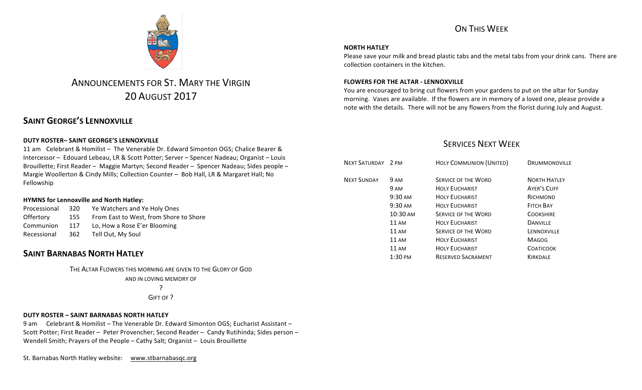# ON THIS WEEK

### **NORTH HATLEY**

Please save your milk and bread plastic tabs and the metal tabs from your drink cans. There are collection containers in the kitchen.

### **FLOWERS FOR THE ALTAR - LENNOXVILLE**

You are encouraged to bring cut flowers from your gardens to put on the altar for Sunday morning. Vases are available. If the flowers are in memory of a loved one, please provide a note with the details. There will not be any flowers from the florist during July and August.

### **SERVICES NEXT WEEK**

| NEXT SATURDAY 2 PM |                    | <b>HOLY COMMUNION (UNITED)</b> | <b>DRUMMONDVILLE</b> |
|--------------------|--------------------|--------------------------------|----------------------|
| <b>NEXT SUNDAY</b> | <b>9 AM</b>        | <b>SERVICE OF THE WORD</b>     | <b>NORTH HATLEY</b>  |
|                    | 9 AM               | <b>HOLY EUCHARIST</b>          | <b>AYER'S CLIFF</b>  |
|                    | $9:30 \text{ AM}$  | <b>HOLY EUCHARIST</b>          | RICHMOND             |
|                    | $9:30 \text{ AM}$  | <b>HOLY EUCHARIST</b>          | <b>FITCH BAY</b>     |
|                    | 10:30 AM           | <b>SERVICE OF THE WORD</b>     | <b>COOKSHIRE</b>     |
|                    | <b>11 AM</b>       | <b>HOLY EUCHARIST</b>          | <b>DANVILLE</b>      |
|                    | 11AM               | <b>SERVICE OF THE WORD</b>     | LENNOXVILLE          |
|                    | <b>11 AM</b>       | <b>HOLY EUCHARIST</b>          | <b>MAGOG</b>         |
|                    | 11AM               | <b>HOLY EUCHARIST</b>          | <b>COATICOOK</b>     |
|                    | $1:30 \text{ }$ PM | <b>RESERVED SACRAMENT</b>      | <b>KIRKDALE</b>      |
|                    |                    |                                |                      |



# ANNOUNCEMENTS FOR ST. MARY THE VIRGIN 20 AUGUST 2017

# **SAINT GEORGE'S LENNOXVILLE**

### **DUTY ROSTER– SAINT GEORGE'S LENNOXVILLE**

11 am Celebrant & Homilist – The Venerable Dr. Edward Simonton OGS; Chalice Bearer & Intercessor - Edouard Lebeau, LR & Scott Potter; Server - Spencer Nadeau; Organist - Louis Brouillette; First Reader - Maggie Martyn; Second Reader - Spencer Nadeau; Sides people -Margie Woollerton & Cindy Mills; Collection Counter - Bob Hall, LR & Margaret Hall; No Fellowship

### **HYMNS for Lennoxville and North Hatley:**

| Processional                            | 320 | Ye Watchers and Ye Holy Ones           |  |
|-----------------------------------------|-----|----------------------------------------|--|
| <b>Offertory</b>                        | 155 | From East to West, from Shore to Shore |  |
| Communion                               | 117 | Lo, How a Rose E'er Blooming           |  |
| Tell Out, My Soul<br>Recessional<br>362 |     |                                        |  |

# **SAINT BARNABAS NORTH HATLEY**

THE ALTAR FLOWERS THIS MORNING ARE GIVEN TO THE GLORY OF GOD AND IN LOVING MEMORY OF ?

GIFT OF ?

### **DUTY ROSTER – SAINT BARNABAS NORTH HATLEY**

9 am Celebrant & Homilist – The Venerable Dr. Edward Simonton OGS; Eucharist Assistant – Scott Potter; First Reader - Peter Provencher; Second Reader - Candy Rutihinda; Sides person -Wendell Smith; Prayers of the People - Cathy Salt; Organist - Louis Brouillette

St. Barnabas North Hatley website: www.stbarnabasqc.org